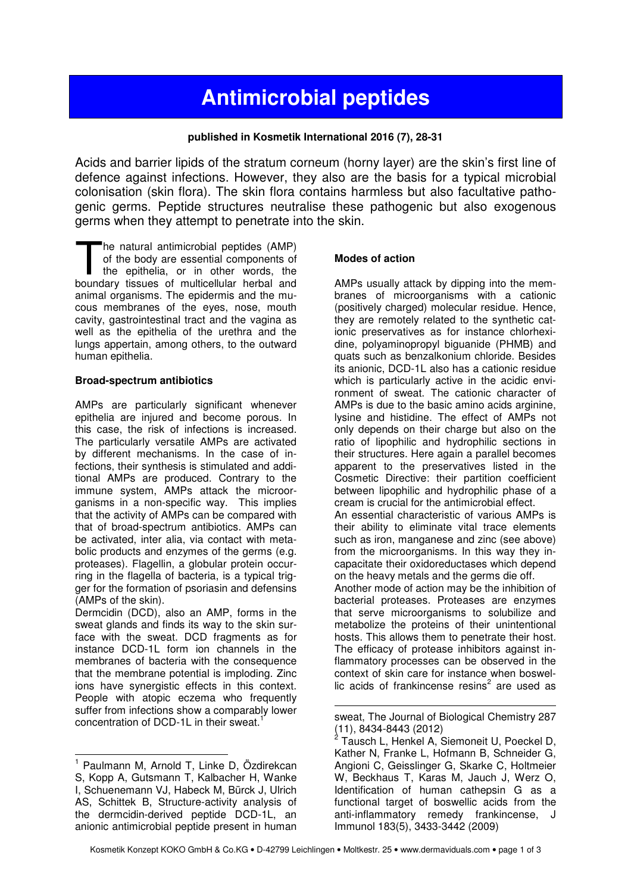# **Antimicrobial peptides**

# **published in Kosmetik International 2016 (7), 28-31**

Acids and barrier lipids of the stratum corneum (horny layer) are the skin's first line of defence against infections. However, they also are the basis for a typical microbial colonisation (skin flora). The skin flora contains harmless but also facultative pathogenic germs. Peptide structures neutralise these pathogenic but also exogenous germs when they attempt to penetrate into the skin.

he natural antimicrobial peptides (AMP) of the body are essential components of the epithelia, or in other words, the The natural antimicrobial peptides (AMP)<br>of the body are essential components of<br>the epithelia, or in other words, the<br>boundary tissues of multicellular herbal and animal organisms. The epidermis and the mucous membranes of the eyes, nose, mouth cavity, gastrointestinal tract and the vagina as well as the epithelia of the urethra and the lungs appertain, among others, to the outward human epithelia.

## **Broad-spectrum antibiotics**

AMPs are particularly significant whenever epithelia are injured and become porous. In this case, the risk of infections is increased. The particularly versatile AMPs are activated by different mechanisms. In the case of infections, their synthesis is stimulated and additional AMPs are produced. Contrary to the immune system, AMPs attack the microorganisms in a non-specific way. This implies that the activity of AMPs can be compared with that of broad-spectrum antibiotics. AMPs can be activated, inter alia, via contact with metabolic products and enzymes of the germs (e.g. proteases). Flagellin, a globular protein occurring in the flagella of bacteria, is a typical trigger for the formation of psoriasin and defensins (AMPs of the skin).

Dermcidin (DCD), also an AMP, forms in the sweat glands and finds its way to the skin surface with the sweat. DCD fragments as for instance DCD-1L form ion channels in the membranes of bacteria with the consequence that the membrane potential is imploding. Zinc ions have synergistic effects in this context. People with atopic eczema who frequently suffer from infections show a comparably lower concentration of DCD-1L in their sweat.

# **Modes of action**

AMPs usually attack by dipping into the membranes of microorganisms with a cationic (positively charged) molecular residue. Hence, they are remotely related to the synthetic cationic preservatives as for instance chlorhexidine, polyaminopropyl biguanide (PHMB) and quats such as benzalkonium chloride. Besides its anionic, DCD-1L also has a cationic residue which is particularly active in the acidic environment of sweat. The cationic character of AMPs is due to the basic amino acids arginine, lysine and histidine. The effect of AMPs not only depends on their charge but also on the ratio of lipophilic and hydrophilic sections in their structures. Here again a parallel becomes apparent to the preservatives listed in the Cosmetic Directive: their partition coefficient between lipophilic and hydrophilic phase of a cream is crucial for the antimicrobial effect. An essential characteristic of various AMPs is their ability to eliminate vital trace elements such as iron, manganese and zinc (see above) from the microorganisms. In this way they incapacitate their oxidoreductases which depend on the heavy metals and the germs die off. Another mode of action may be the inhibition of bacterial proteases. Proteases are enzymes that serve microorganisms to solubilize and metabolize the proteins of their unintentional hosts. This allows them to penetrate their host. The efficacy of protease inhibitors against inflammatory processes can be observed in the context of skin care for instance when boswellic acids of frankincense resins<sup>2</sup> are used as

 $\overline{a}$ 1 Paulmann M, Arnold T, Linke D, Özdirekcan S, Kopp A, Gutsmann T, Kalbacher H, Wanke I, Schuenemann VJ, Habeck M, Bürck J, Ulrich AS, Schittek B, Structure-activity analysis of the dermcidin-derived peptide DCD-1L, an anionic antimicrobial peptide present in human

l sweat, The Journal of Biological Chemistry 287

<sup>(11), 8434-8443 (2012)&</sup>lt;br><sup>2</sup> Tausch L, Henkel A, Siemoneit U, Poeckel D, Kather N, Franke L, Hofmann B, Schneider G, Angioni C, Geisslinger G, Skarke C, Holtmeier W, Beckhaus T, Karas M, Jauch J, Werz O, Identification of human cathepsin G as a functional target of boswellic acids from the anti-inflammatory remedy frankincense, J Immunol 183(5), 3433-3442 (2009)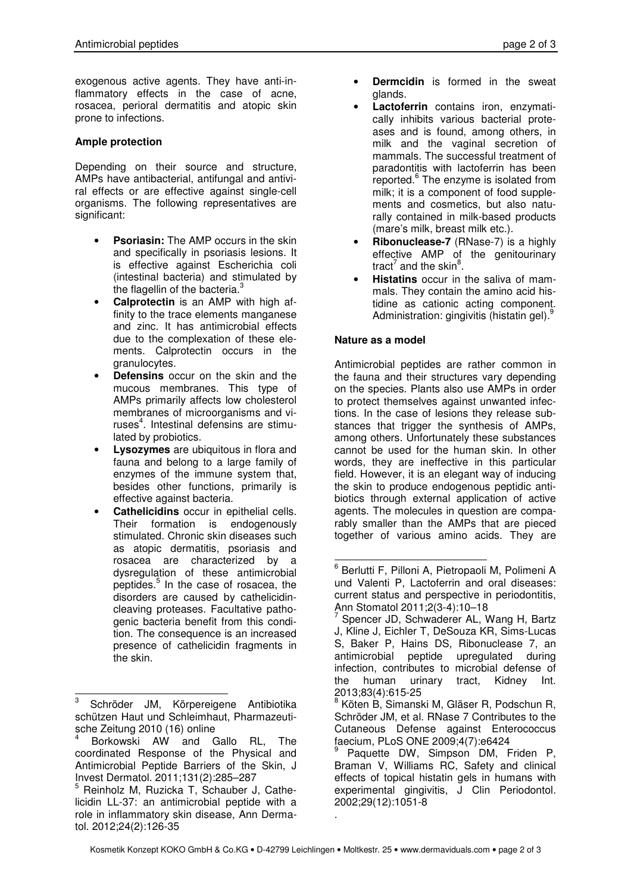exogenous active agents. They have anti-inflammatory effects in the case of acne, rosacea, perioral dermatitis and atopic skin prone to infections.

#### **Ample protection**

Depending on their source and structure, AMPs have antibacterial, antifungal and antiviral effects or are effective against single-cell organisms. The following representatives are significant:

- **Psoriasin:** The AMP occurs in the skin and specifically in psoriasis lesions. It is effective against Escherichia coli (intestinal bacteria) and stimulated by the flagellin of the bacteria. $3$
- **Calprotectin** is an AMP with high affinity to the trace elements manganese and zinc. It has antimicrobial effects due to the complexation of these elements. Calprotectin occurs in the granulocytes.
- **Defensins** occur on the skin and the mucous membranes. This type of AMPs primarily affects low cholesterol membranes of microorganisms and viruses<sup>4</sup>. Intestinal defensins are stimulated by probiotics.
- **Lysozymes** are ubiquitous in flora and fauna and belong to a large family of enzymes of the immune system that, besides other functions, primarily is effective against bacteria.
- **Cathelicidins** occur in epithelial cells. Their formation is endogenously stimulated. Chronic skin diseases such as atopic dermatitis, psoriasis and rosacea are characterized by a dysregulation of these antimicrobial peptides.<sup>5</sup> In the case of rosacea, the disorders are caused by cathelicidincleaving proteases. Facultative pathogenic bacteria benefit from this condition. The consequence is an increased presence of cathelicidin fragments in the skin.
- **Dermcidin** is formed in the sweat glands.
- **Lactoferrin** contains iron, enzymatically inhibits various bacterial proteases and is found, among others. in milk and the vaginal secretion of mammals. The successful treatment of paradontitis with lactoferrin has been .<br>reported.<sup>6</sup> The enzyme is isolated from milk; it is a component of food supplements and cosmetics, but also naturally contained in milk-based products (mare's milk, breast milk etc.).
- **Ribonuclease-7** (RNase-7) is a highly effective AMP of the genitourinary tract<sup>7</sup> and the skin<sup>8</sup>.
- **Histatins** occur in the saliva of mammals. They contain the amino acid histidine as cationic acting component. Administration: gingivitis (histatin gel).<sup>9</sup>

#### **Nature as a model**

Antimicrobial peptides are rather common in the fauna and their structures vary depending on the species. Plants also use AMPs in order to protect themselves against unwanted infections. In the case of lesions they release substances that trigger the synthesis of AMPs, among others. Unfortunately these substances cannot be used for the human skin. In other words, they are ineffective in this particular field. However, it is an elegant way of inducing the skin to produce endogenous peptidic antibiotics through external application of active agents. The molecules in question are comparably smaller than the AMPs that are pieced together of various amino acids. They are

l

 $\overline{a}$ 3 Schröder JM, Körpereigene Antibiotika schützen Haut und Schleimhaut, Pharmazeutische Zeitung 2010 (16) online

<sup>4</sup> Borkowski AW and Gallo RL, The coordinated Response of the Physical and Antimicrobial Peptide Barriers of the Skin, J Invest Dermatol. 2011;131(2):285–287

<sup>5</sup> Reinholz M, Ruzicka T, Schauber J, Cathelicidin LL-37: an antimicrobial peptide with a role in inflammatory skin disease, Ann Dermatol. 2012;24(2):126-35

<sup>6</sup> Berlutti F, Pilloni A, Pietropaoli M, Polimeni A und Valenti P, Lactoferrin and oral diseases: current status and perspective in periodontitis, Ann Stomatol 2011;2(3-4):10–18

<sup>&</sup>lt;sup>7</sup> Spencer JD, Schwaderer AL, Wang H, Bartz J, Kline J, Eichler T, DeSouza KR, Sims-Lucas S, Baker P, Hains DS, Ribonuclease 7, an antimicrobial peptide upregulated during infection, contributes to microbial defense of the human urinary tract, Kidney Int. 2013;83(4):615-25

<sup>&</sup>lt;sup>8</sup> Köten B, Simanski M, Gläser R, Podschun R, Schröder JM, et al. RNase 7 Contributes to the Cutaneous Defense against Enterococcus faecium, PLoS ONE 2009;4(7):e6424

<sup>9</sup> Paquette DW, Simpson DM, Friden P, Braman V, Williams RC, Safety and clinical effects of topical histatin gels in humans with experimental gingivitis, J Clin Periodontol. 2002;29(12):1051-8 .